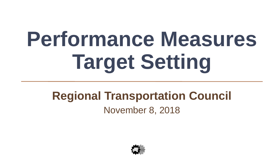# **Performance Measures Target Setting**

#### **Regional Transportation Council** November 8, 2018

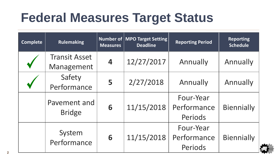# **Federal Measures Target Status**

| <b>Complete</b> | <b>Rulemaking</b>                  | <b>Measures</b> | <b>Number of   MPO Target Setting  </b><br><b>Deadline</b> | <b>Reporting Period</b>             | <b>Reporting</b><br><b>Schedule</b> |
|-----------------|------------------------------------|-----------------|------------------------------------------------------------|-------------------------------------|-------------------------------------|
|                 | <b>Transit Asset</b><br>Management | 4               | 12/27/2017                                                 | Annually                            | Annually                            |
|                 | Safety<br>Performance              | 5               | 2/27/2018                                                  | Annually                            | Annually                            |
|                 | Pavement and<br><b>Bridge</b>      | 6               | 11/15/2018                                                 | Four-Year<br>Performance<br>Periods | <b>Biennially</b>                   |
|                 | System<br>Performance              | 6               | 11/15/2018                                                 | Four-Year<br>Performance<br>Periods | <b>Biennially</b>                   |

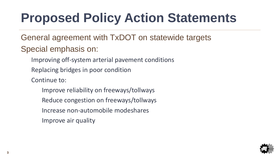# **Proposed Policy Action Statements**

- General agreement with TxDOT on statewide targets Special emphasis on:
	- Improving off-system arterial pavement conditions
	- Replacing bridges in poor condition
	- Continue to:
		- Improve reliability on freeways/tollways
		- Reduce congestion on freeways/tollways
		- Increase non-automobile modeshares
		- Improve air quality

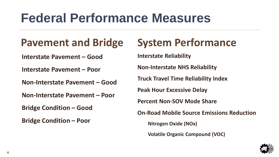# **Federal Performance Measures**

#### **Pavement and Bridge**

**Interstate Pavement – Good**

**Interstate Pavement – Poor**

**Non-Interstate Pavement – Good**

**Non-Interstate Pavement – Poor**

**Bridge Condition – Good**

**Bridge Condition – Poor**

#### **System Performance**

**Interstate Reliability**

**Non-Interstate NHS Reliability**

**Truck Travel Time Reliability Index**

**Peak Hour Excessive Delay**

**Percent Non-SOV Mode Share**

**On-Road Mobile Source Emissions Reduction**

**Nitrogen Oxide (NOx)**

**Volatile Organic Compound (VOC)**

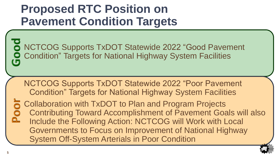#### **Proposed RTC Position on Pavement Condition Targets**

NCTCOG Supports TxDOT Statewide 2022 "Good Pavement Condition" Targets for National Highway System Facilities  $\sqrt{5}$ 

NCTCOG Supports TxDOT Statewide 2022 "Poor Pavement Condition" Targets for National Highway System Facilities Collaboration with TxDOT to Plan and Program Projects Contributing Toward Accomplishment of Pavement Goals will also **PO** Include the Following Action: NCTCOG will Work with Local Governments to Focus on Improvement of National Highway System Off-System Arterials in Poor Condition

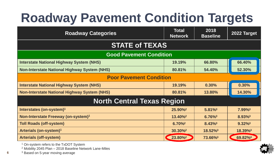# **Roadway Pavement Condition Targets**

| <b>Roadway Categories</b>                           | <b>Total</b><br><b>Network</b> | 2018<br><b>Baseline</b> | 2022 Target           |  |  |  |  |
|-----------------------------------------------------|--------------------------------|-------------------------|-----------------------|--|--|--|--|
| <b>STATE of TEXAS</b>                               |                                |                         |                       |  |  |  |  |
| <b>Good Pavement Condition</b>                      |                                |                         |                       |  |  |  |  |
| <b>Interstate National Highway System (NHS)</b>     | 19.19%                         | 66.80%                  | 66.40%                |  |  |  |  |
| <b>Non-Interstate National Highway System (NHS)</b> | 80.81%                         | 54.40%                  | 52.30%                |  |  |  |  |
| <b>Poor Pavement Condition</b>                      |                                |                         |                       |  |  |  |  |
| <b>Interstate National Highway System (NHS)</b>     | 19.19%                         | 0.30%                   | 0.30%                 |  |  |  |  |
| <b>Non-Interstate National Highway System (NHS)</b> | 80.81%                         | 13.80%                  | 14.30%                |  |  |  |  |
| <b>North Central Texas Region</b>                   |                                |                         |                       |  |  |  |  |
| Interstates (on-system) <sup>1</sup>                | 25.90%                         | $5.81\%$                | $7.99\%$ <sup>3</sup> |  |  |  |  |
| Non-Interstate Freeway (on-system) <sup>1</sup>     | 13.40%                         | $6.76\%$ <sup>3</sup>   | 8.93%                 |  |  |  |  |
| <b>Toll Roads (off-system)</b>                      | $6.70\%^{2}$                   | $8.43\%$ <sup>3</sup>   | $9.32\%$ <sup>3</sup> |  |  |  |  |
| Arterials (on-system) <sup>1</sup>                  | 30.30% <sup>2</sup>            | 18.52%                  | 18.39%3               |  |  |  |  |
| <b>Arterials (off-system)</b>                       | 23.80%                         | 73.66%3                 | 69.82%                |  |  |  |  |

<sup>1</sup> On-system refers to the TxDOT System

<sup>2</sup> Mobility 2045 Plan – 2018 Baseline Network Lane-Miles

<sup>3</sup> Based on 5-year moving average

**6**

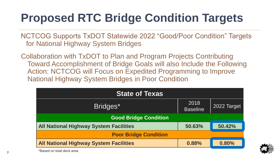### **Proposed RTC Bridge Condition Targets**

NCTCOG Supports TxDOT Statewide 2022 "Good/Poor Condition" Targets for National Highway System Bridges

Collaboration with TxDOT to Plan and Program Projects Contributing Toward Accomplishment of Bridge Goals will also Include the Following Action: NCTCOG will Focus on Expedited Programming to Improve National Highway System Bridges in Poor Condition

| <b>State of Texas</b>                         |                         |             |  |  |  |
|-----------------------------------------------|-------------------------|-------------|--|--|--|
| Bridges*                                      | 2018<br><b>Baseline</b> | 2022 Target |  |  |  |
| <b>Good Bridge Condition</b>                  |                         |             |  |  |  |
| <b>All National Highway System Facilities</b> | 50.63%                  | 50.42%      |  |  |  |
| <b>Poor Bridge Condition</b>                  |                         |             |  |  |  |
| <b>All National Highway System Facilities</b> | 0.88%                   | 0.80%       |  |  |  |



\*Based on total deck area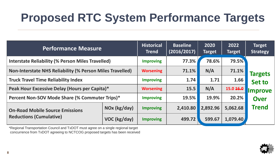### **Proposed RTC System Performance Targets**

| <b>Performance Measure</b>                                               |              | <b>Historical</b><br><b>Trend</b> | <b>Baseline</b><br>(2016/2017) | 2020<br><b>Target</b> | 2022<br>Target | <b>Target</b><br><b>Strategy</b> |
|--------------------------------------------------------------------------|--------------|-----------------------------------|--------------------------------|-----------------------|----------------|----------------------------------|
| <b>Interstate Reliability (% Person Miles Travelled)</b>                 |              | <b>Improving</b>                  | 77.3%                          | 78.6%                 | 79.5%          |                                  |
| <b>Non-Interstate NHS Reliability (% Person Miles Travelled)</b>         |              | <b>Worsening</b>                  | 71.1%                          | N/A                   | 71.1%          | <b>Targets</b><br><b>Set to</b>  |
| <b>Truck Travel Time Reliability Index</b>                               |              | <b>Improving</b>                  | 1.74                           | 1.71                  | 1.66           |                                  |
| Peak Hour Excessive Delay (Hours per Capita)*                            |              | <b>Worsening</b>                  | 15.5                           | N/A                   | 15.0 16.0      | <b>Improve</b>                   |
| Percent Non-SOV Mode Share (% Commuter Trips)*                           |              | <b>Improving</b>                  | 19.5%                          | 19.9%                 | 20.2%          | <b>Over</b>                      |
| <b>On-Road Mobile Source Emissions</b><br><b>Reductions (Cumulative)</b> | NOx (kg/day) | <b>Improving</b>                  | 2,410.80                       | 2,892.96              | 5,062.68       | <b>Trend</b>                     |
|                                                                          | VOC (kg/day) | <b>Improving</b>                  | 499.72                         | 599.67                | 1,079.40       |                                  |

\*Regional Transportation Council and TxDOT must agree on a single regional target concurrence from TxDOT agreeing to NCTCOG proposed targets has been received